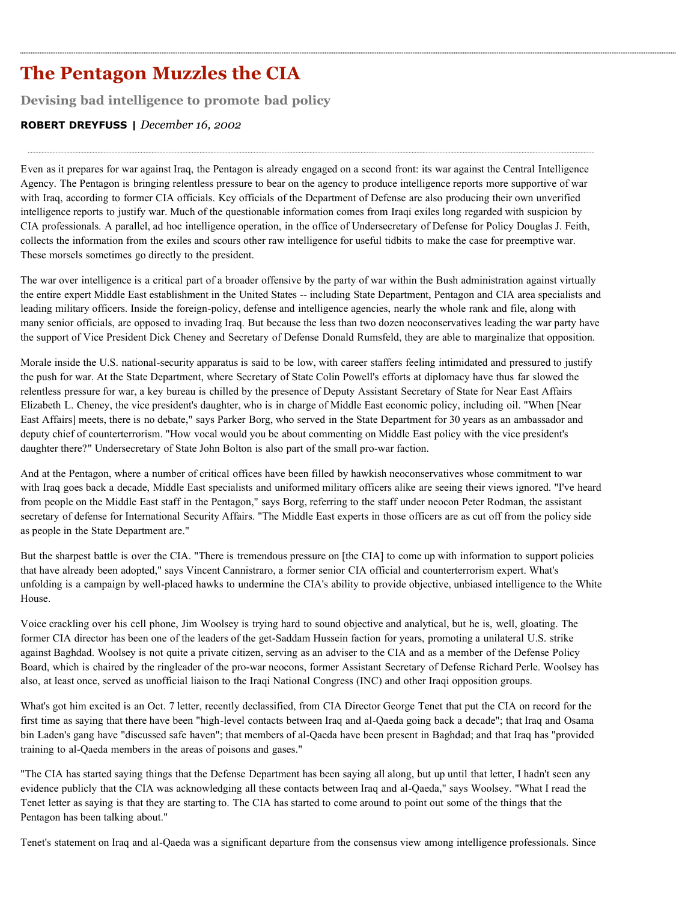# **The Pentagon Muzzles the CIA**

**Devising bad intelligence to promote bad policy**

# **ROBERT DREYFUSS |** *December 16, 2002*

Even as it prepares for war against Iraq, the Pentagon is already engaged on a second front: its war against the Central Intelligence Agency. The Pentagon is bringing relentless pressure to bear on the agency to produce intelligence reports more supportive of war with Iraq, according to former CIA officials. Key officials of the Department of Defense are also producing their own unverified intelligence reports to justify war. Much of the questionable information comes from Iraqi exiles long regarded with suspicion by CIA professionals. A parallel, ad hoc intelligence operation, in the office of Undersecretary of Defense for Policy Douglas J. Feith, collects the information from the exiles and scours other raw intelligence for useful tidbits to make the case for preemptive war. These morsels sometimes go directly to the president.

The war over intelligence is a critical part of a broader offensive by the party of war within the Bush administration against virtually the entire expert Middle East establishment in the United States -- including State Department, Pentagon and CIA area specialists and leading military officers. Inside the foreign-policy, defense and intelligence agencies, nearly the whole rank and file, along with many senior officials, are opposed to invading Iraq. But because the less than two dozen neoconservatives leading the war party have the support of Vice President Dick Cheney and Secretary of Defense Donald Rumsfeld, they are able to marginalize that opposition.

Morale inside the U.S. national-security apparatus is said to be low, with career staffers feeling intimidated and pressured to justify the push for war. At the State Department, where Secretary of State Colin Powell's efforts at diplomacy have thus far slowed the relentless pressure for war, a key bureau is chilled by the presence of Deputy Assistant Secretary of State for Near East Affairs Elizabeth L. Cheney, the vice president's daughter, who is in charge of Middle East economic policy, including oil. "When [Near East Affairs] meets, there is no debate," says Parker Borg, who served in the State Department for 30 years as an ambassador and deputy chief of counterterrorism. "How vocal would you be about commenting on Middle East policy with the vice president's daughter there?" Undersecretary of State John Bolton is also part of the small pro-war faction.

And at the Pentagon, where a number of critical offices have been filled by hawkish neoconservatives whose commitment to war with Iraq goes back a decade, Middle East specialists and uniformed military officers alike are seeing their views ignored. "I've heard from people on the Middle East staff in the Pentagon," says Borg, referring to the staff under neocon Peter Rodman, the assistant secretary of defense for International Security Affairs. "The Middle East experts in those officers are as cut off from the policy side as people in the State Department are."

But the sharpest battle is over the CIA. "There is tremendous pressure on [the CIA] to come up with information to support policies that have already been adopted," says Vincent Cannistraro, a former senior CIA official and counterterrorism expert. What's unfolding is a campaign by well-placed hawks to undermine the CIA's ability to provide objective, unbiased intelligence to the White House.

Voice crackling over his cell phone, Jim Woolsey is trying hard to sound objective and analytical, but he is, well, gloating. The former CIA director has been one of the leaders of the get-Saddam Hussein faction for years, promoting a unilateral U.S. strike against Baghdad. Woolsey is not quite a private citizen, serving as an adviser to the CIA and as a member of the Defense Policy Board, which is chaired by the ringleader of the pro-war neocons, former Assistant Secretary of Defense Richard Perle. Woolsey has also, at least once, served as unofficial liaison to the Iraqi National Congress (INC) and other Iraqi opposition groups.

What's got him excited is an Oct. 7 letter, recently declassified, from CIA Director George Tenet that put the CIA on record for the first time as saying that there have been "high-level contacts between Iraq and al-Qaeda going back a decade"; that Iraq and Osama bin Laden's gang have "discussed safe haven"; that members of al-Qaeda have been present in Baghdad; and that Iraq has "provided training to al-Qaeda members in the areas of poisons and gases."

"The CIA has started saying things that the Defense Department has been saying all along, but up until that letter, I hadn't seen any evidence publicly that the CIA was acknowledging all these contacts between Iraq and al-Qaeda," says Woolsey. "What I read the Tenet letter as saying is that they are starting to. The CIA has started to come around to point out some of the things that the Pentagon has been talking about."

Tenet's statement on Iraq and al-Qaeda was a significant departure from the consensus view among intelligence professionals. Since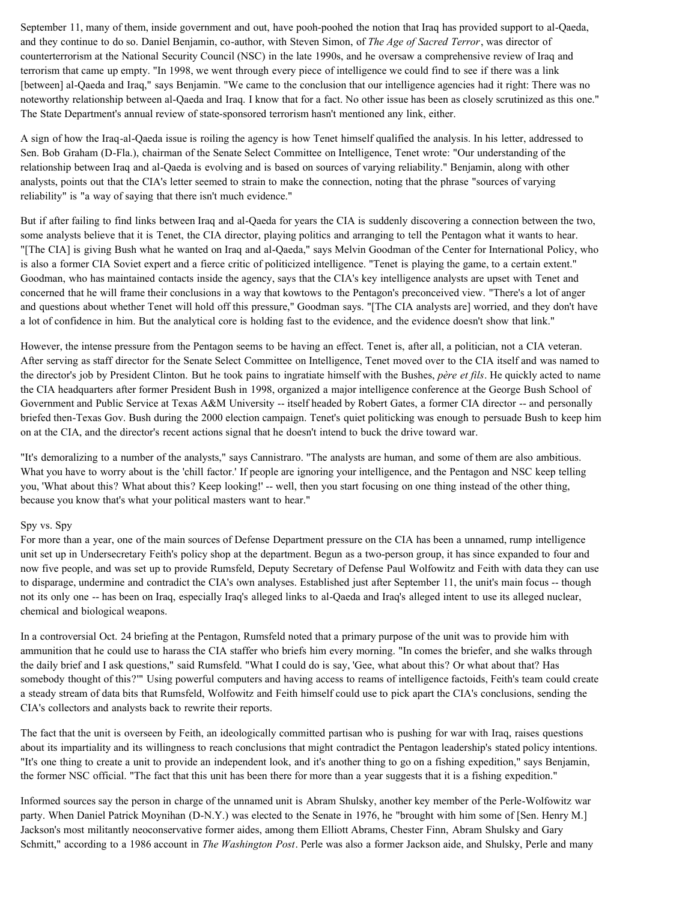September 11, many of them, inside government and out, have pooh-poohed the notion that Iraq has provided support to al-Qaeda, and they continue to do so. Daniel Benjamin, co-author, with Steven Simon, of *The Age of Sacred Terror*, was director of counterterrorism at the National Security Council (NSC) in the late 1990s, and he oversaw a comprehensive review of Iraq and terrorism that came up empty. "In 1998, we went through every piece of intelligence we could find to see if there was a link [between] al-Qaeda and Iraq," says Benjamin. "We came to the conclusion that our intelligence agencies had it right: There was no noteworthy relationship between al-Qaeda and Iraq. I know that for a fact. No other issue has been as closely scrutinized as this one." The State Department's annual review of state-sponsored terrorism hasn't mentioned any link, either.

A sign of how the Iraq-al-Qaeda issue is roiling the agency is how Tenet himself qualified the analysis. In his letter, addressed to Sen. Bob Graham (D-Fla.), chairman of the Senate Select Committee on Intelligence, Tenet wrote: "Our understanding of the relationship between Iraq and al-Qaeda is evolving and is based on sources of varying reliability." Benjamin, along with other analysts, points out that the CIA's letter seemed to strain to make the connection, noting that the phrase "sources of varying reliability" is "a way of saying that there isn't much evidence."

But if after failing to find links between Iraq and al-Qaeda for years the CIA is suddenly discovering a connection between the two, some analysts believe that it is Tenet, the CIA director, playing politics and arranging to tell the Pentagon what it wants to hear. "[The CIA] is giving Bush what he wanted on Iraq and al-Qaeda," says Melvin Goodman of the Center for International Policy, who is also a former CIA Soviet expert and a fierce critic of politicized intelligence. "Tenet is playing the game, to a certain extent." Goodman, who has maintained contacts inside the agency, says that the CIA's key intelligence analysts are upset with Tenet and concerned that he will frame their conclusions in a way that kowtows to the Pentagon's preconceived view. "There's a lot of anger and questions about whether Tenet will hold off this pressure," Goodman says. "[The CIA analysts are] worried, and they don't have a lot of confidence in him. But the analytical core is holding fast to the evidence, and the evidence doesn't show that link."

However, the intense pressure from the Pentagon seems to be having an effect. Tenet is, after all, a politician, not a CIA veteran. After serving as staff director for the Senate Select Committee on Intelligence, Tenet moved over to the CIA itself and was named to the director's job by President Clinton. But he took pains to ingratiate himself with the Bushes, *père et fils*. He quickly acted to name the CIA headquarters after former President Bush in 1998, organized a major intelligence conference at the George Bush School of Government and Public Service at Texas A&M University -- itself headed by Robert Gates, a former CIA director -- and personally briefed then-Texas Gov. Bush during the 2000 election campaign. Tenet's quiet politicking was enough to persuade Bush to keep him on at the CIA, and the director's recent actions signal that he doesn't intend to buck the drive toward war.

"It's demoralizing to a number of the analysts," says Cannistraro. "The analysts are human, and some of them are also ambitious. What you have to worry about is the 'chill factor.' If people are ignoring your intelligence, and the Pentagon and NSC keep telling you, 'What about this? What about this? Keep looking!' -- well, then you start focusing on one thing instead of the other thing, because you know that's what your political masters want to hear."

#### Spy vs. Spy

For more than a year, one of the main sources of Defense Department pressure on the CIA has been a unnamed, rump intelligence unit set up in Undersecretary Feith's policy shop at the department. Begun as a two-person group, it has since expanded to four and now five people, and was set up to provide Rumsfeld, Deputy Secretary of Defense Paul Wolfowitz and Feith with data they can use to disparage, undermine and contradict the CIA's own analyses. Established just after September 11, the unit's main focus -- though not its only one -- has been on Iraq, especially Iraq's alleged links to al-Qaeda and Iraq's alleged intent to use its alleged nuclear, chemical and biological weapons.

In a controversial Oct. 24 briefing at the Pentagon, Rumsfeld noted that a primary purpose of the unit was to provide him with ammunition that he could use to harass the CIA staffer who briefs him every morning. "In comes the briefer, and she walks through the daily brief and I ask questions," said Rumsfeld. "What I could do is say, 'Gee, what about this? Or what about that? Has somebody thought of this?'" Using powerful computers and having access to reams of intelligence factoids, Feith's team could create a steady stream of data bits that Rumsfeld, Wolfowitz and Feith himself could use to pick apart the CIA's conclusions, sending the CIA's collectors and analysts back to rewrite their reports.

The fact that the unit is overseen by Feith, an ideologically committed partisan who is pushing for war with Iraq, raises questions about its impartiality and its willingness to reach conclusions that might contradict the Pentagon leadership's stated policy intentions. "It's one thing to create a unit to provide an independent look, and it's another thing to go on a fishing expedition," says Benjamin, the former NSC official. "The fact that this unit has been there for more than a year suggests that it is a fishing expedition."

Informed sources say the person in charge of the unnamed unit is Abram Shulsky, another key member of the Perle-Wolfowitz war party. When Daniel Patrick Moynihan (D-N.Y.) was elected to the Senate in 1976, he "brought with him some of [Sen. Henry M.] Jackson's most militantly neoconservative former aides, among them Elliott Abrams, Chester Finn, Abram Shulsky and Gary Schmitt," according to a 1986 account in *The Washington Post*. Perle was also a former Jackson aide, and Shulsky, Perle and many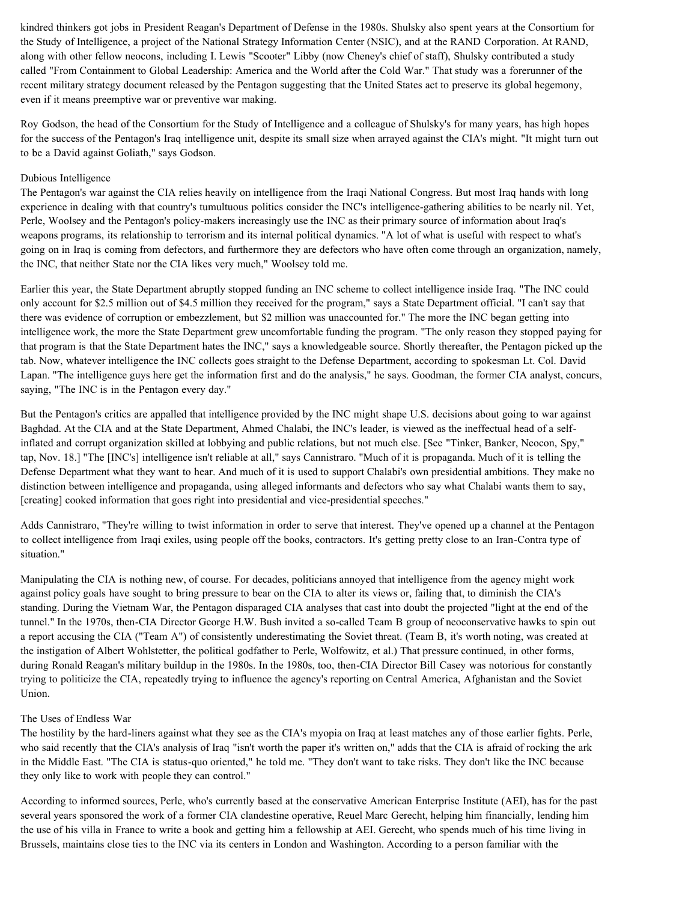kindred thinkers got jobs in President Reagan's Department of Defense in the 1980s. Shulsky also spent years at the Consortium for the Study of Intelligence, a project of the National Strategy Information Center (NSIC), and at the RAND Corporation. At RAND, along with other fellow neocons, including I. Lewis "Scooter" Libby (now Cheney's chief of staff), Shulsky contributed a study called "From Containment to Global Leadership: America and the World after the Cold War." That study was a forerunner of the recent military strategy document released by the Pentagon suggesting that the United States act to preserve its global hegemony, even if it means preemptive war or preventive war making.

Roy Godson, the head of the Consortium for the Study of Intelligence and a colleague of Shulsky's for many years, has high hopes for the success of the Pentagon's Iraq intelligence unit, despite its small size when arrayed against the CIA's might. "It might turn out to be a David against Goliath," says Godson.

## Dubious Intelligence

The Pentagon's war against the CIA relies heavily on intelligence from the Iraqi National Congress. But most Iraq hands with long experience in dealing with that country's tumultuous politics consider the INC's intelligence-gathering abilities to be nearly nil. Yet, Perle, Woolsey and the Pentagon's policy-makers increasingly use the INC as their primary source of information about Iraq's weapons programs, its relationship to terrorism and its internal political dynamics. "A lot of what is useful with respect to what's going on in Iraq is coming from defectors, and furthermore they are defectors who have often come through an organization, namely, the INC, that neither State nor the CIA likes very much," Woolsey told me.

Earlier this year, the State Department abruptly stopped funding an INC scheme to collect intelligence inside Iraq. "The INC could only account for \$2.5 million out of \$4.5 million they received for the program," says a State Department official. "I can't say that there was evidence of corruption or embezzlement, but \$2 million was unaccounted for." The more the INC began getting into intelligence work, the more the State Department grew uncomfortable funding the program. "The only reason they stopped paying for that program is that the State Department hates the INC," says a knowledgeable source. Shortly thereafter, the Pentagon picked up the tab. Now, whatever intelligence the INC collects goes straight to the Defense Department, according to spokesman Lt. Col. David Lapan. "The intelligence guys here get the information first and do the analysis," he says. Goodman, the former CIA analyst, concurs, saying, "The INC is in the Pentagon every day."

But the Pentagon's critics are appalled that intelligence provided by the INC might shape U.S. decisions about going to war against Baghdad. At the CIA and at the State Department, Ahmed Chalabi, the INC's leader, is viewed as the ineffectual head of a selfinflated and corrupt organization skilled at lobbying and public relations, but not much else. [See "Tinker, Banker, Neocon, Spy," tap, Nov. 18.] "The [INC's] intelligence isn't reliable at all," says Cannistraro. "Much of it is propaganda. Much of it is telling the Defense Department what they want to hear. And much of it is used to support Chalabi's own presidential ambitions. They make no distinction between intelligence and propaganda, using alleged informants and defectors who say what Chalabi wants them to say, [creating] cooked information that goes right into presidential and vice-presidential speeches."

Adds Cannistraro, "They're willing to twist information in order to serve that interest. They've opened up a channel at the Pentagon to collect intelligence from Iraqi exiles, using people off the books, contractors. It's getting pretty close to an Iran-Contra type of situation."

Manipulating the CIA is nothing new, of course. For decades, politicians annoyed that intelligence from the agency might work against policy goals have sought to bring pressure to bear on the CIA to alter its views or, failing that, to diminish the CIA's standing. During the Vietnam War, the Pentagon disparaged CIA analyses that cast into doubt the projected "light at the end of the tunnel." In the 1970s, then-CIA Director George H.W. Bush invited a so-called Team B group of neoconservative hawks to spin out a report accusing the CIA ("Team A") of consistently underestimating the Soviet threat. (Team B, it's worth noting, was created at the instigation of Albert Wohlstetter, the political godfather to Perle, Wolfowitz, et al.) That pressure continued, in other forms, during Ronald Reagan's military buildup in the 1980s. In the 1980s, too, then-CIA Director Bill Casey was notorious for constantly trying to politicize the CIA, repeatedly trying to influence the agency's reporting on Central America, Afghanistan and the Soviet Union.

#### The Uses of Endless War

The hostility by the hard-liners against what they see as the CIA's myopia on Iraq at least matches any of those earlier fights. Perle, who said recently that the CIA's analysis of Iraq "isn't worth the paper it's written on," adds that the CIA is afraid of rocking the ark in the Middle East. "The CIA is status-quo oriented," he told me. "They don't want to take risks. They don't like the INC because they only like to work with people they can control."

According to informed sources, Perle, who's currently based at the conservative American Enterprise Institute (AEI), has for the past several years sponsored the work of a former CIA clandestine operative, Reuel Marc Gerecht, helping him financially, lending him the use of his villa in France to write a book and getting him a fellowship at AEI. Gerecht, who spends much of his time living in Brussels, maintains close ties to the INC via its centers in London and Washington. According to a person familiar with the